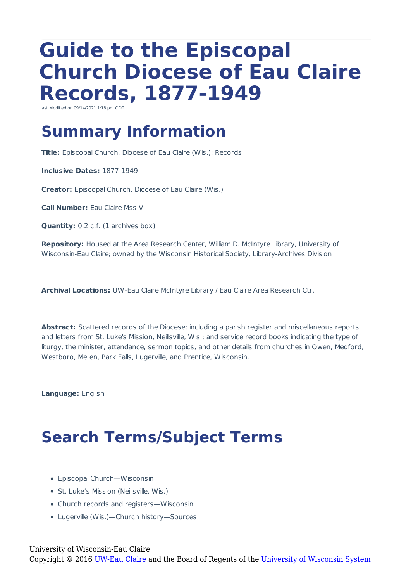# **Guide to the Episcopal Church Diocese of Eau Claire Records, 1877-1949**

Last Modified on 09/14/2021 1:18 pm CDT

# **Summary Information**

**Title:** Episcopal Church. Diocese of Eau Claire (Wis.): Records

**Inclusive Dates:** 1877-1949

**Creator:** Episcopal Church. Diocese of Eau Claire (Wis.)

**Call Number:** Eau Claire Mss V

**Quantity:** 0.2 c.f. (1 archives box)

**Repository:** Housed at the Area Research Center, William D. McIntyre Library, University of Wisconsin-Eau Claire; owned by the Wisconsin Historical Society, Library-Archives Division

**Archival Locations:** UW-Eau Claire McIntyre Library / Eau Claire Area Research Ctr.

**Abstract:** Scattered records of the Diocese; including a parish register and miscellaneous reports and letters from St. Luke's Mission, Neillsville, Wis.; and service record books indicating the type of liturgy, the minister, attendance, sermon topics, and other details from churches in Owen, Medford, Westboro, Mellen, Park Falls, Lugerville, and Prentice, Wisconsin.

**Language:** English

# **Search Terms/Subject Terms**

- Episcopal Church—Wisconsin
- St. Luke's Mission (Neillsville, Wis.)
- Church records and registers—Wisconsin
- Lugerville (Wis.)—Church history—Sources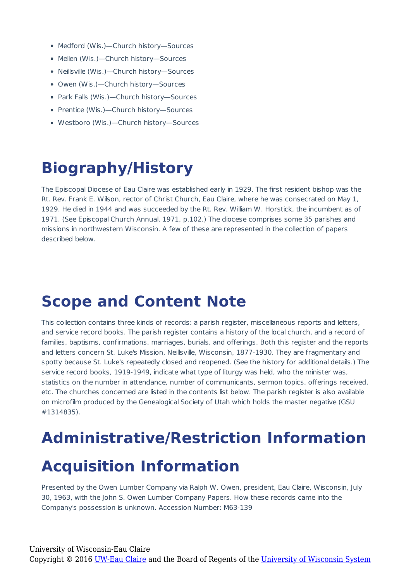- Medford (Wis.)—Church history—Sources
- Mellen (Wis.)-Church history-Sources
- Neillsville (Wis.)—Church history—Sources
- Owen (Wis.)—Church history—Sources
- Park Falls (Wis.)—Church history—Sources
- Prentice (Wis.)-Church history-Sources
- Westboro (Wis.)—Church history—Sources

# **Biography/History**

The Episcopal Diocese of Eau Claire was established early in 1929. The first resident bishop was the Rt. Rev. Frank E. Wilson, rector of Christ Church, Eau Claire, where he was consecrated on May 1, 1929. He died in 1944 and was succeeded by the Rt. Rev. William W. Horstick, the incumbent as of 1971. (See Episcopal Church Annual, 1971, p.102.) The diocese comprises some 35 parishes and missions in northwestern Wisconsin. A few of these are represented in the collection of papers described below.

### **Scope and Content Note**

This collection contains three kinds of records: a parish register, miscellaneous reports and letters, and service record books. The parish register contains a history of the local church, and a record of families, baptisms, confirmations, marriages, burials, and offerings. Both this register and the reports and letters concern St. Luke's Mission, Neillsville, Wisconsin, 1877-1930. They are fragmentary and spotty because St. Luke's repeatedly closed and reopened. (See the history for additional details.) The service record books, 1919-1949, indicate what type of liturgy was held, who the minister was, statistics on the number in attendance, number of communicants, sermon topics, offerings received, etc. The churches concerned are listed in the contents list below. The parish register is also available on microfilm produced by the Genealogical Society of Utah which holds the master negative (GSU #1314835).

# **Administrative/Restriction Information Acquisition Information**

Presented by the Owen Lumber Company via Ralph W. Owen, president, Eau Claire, Wisconsin, July 30, 1963, with the John S. Owen Lumber Company Papers. How these records came into the Company's possession is unknown. Accession Number: M63-139